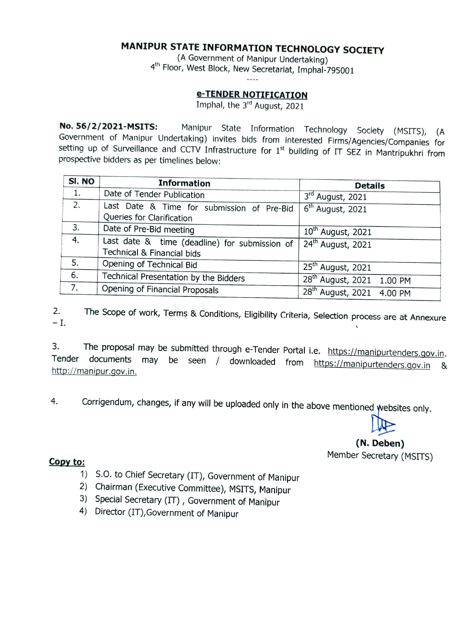# MANIPUR STATE INFORMATION TECHNOLOGY SOCIETY

West The ON-TATION TECHNOLOGY:<br>(A Government of Manipur Undertaking) (A Government of Manipur Undertaking)<br>4<sup>th</sup> Floor, West Block, New Secretariat, Imphal-795001

#### e-TENDER NOTIFICATION

Imphal, the  $3<sup>rd</sup>$  August, 2021

No. 56/2/2021-MSITS: Government of Manipur Undertaking) invites bids from interested Firms/Agencies/Companies for setting up of Surveillance and CCTV Infrastructure for 1<sup>st</sup> building of IT SEZ in Mantripukhri from prospective bidders as per timelines below: Manipur State Information Technology Society (MSITS), (A

|                                       | <b>Details</b>                                                                                                                                      |                                                                                                                                                                                                                   |  |
|---------------------------------------|-----------------------------------------------------------------------------------------------------------------------------------------------------|-------------------------------------------------------------------------------------------------------------------------------------------------------------------------------------------------------------------|--|
| Date of Tender Publication            | 3rd August, 2021                                                                                                                                    |                                                                                                                                                                                                                   |  |
|                                       |                                                                                                                                                     |                                                                                                                                                                                                                   |  |
|                                       |                                                                                                                                                     |                                                                                                                                                                                                                   |  |
|                                       |                                                                                                                                                     |                                                                                                                                                                                                                   |  |
|                                       |                                                                                                                                                     |                                                                                                                                                                                                                   |  |
| Technical & Financial bids            |                                                                                                                                                     |                                                                                                                                                                                                                   |  |
| Opening of Technical Bid              |                                                                                                                                                     |                                                                                                                                                                                                                   |  |
| Technical Presentation by the Bidders |                                                                                                                                                     |                                                                                                                                                                                                                   |  |
| Opening of Financial Proposals        |                                                                                                                                                     |                                                                                                                                                                                                                   |  |
|                                       | Last Date & Time for submission of Pre-Bid<br>Queries for Clarification<br>Date of Pre-Bid meeting<br>Last date & time (deadline) for submission of | 6 <sup>th</sup> August, 2021<br>10 <sup>th</sup> August, 2021<br>24 <sup>th</sup> August, 2021<br>25 <sup>th</sup> August, 2021<br>28 <sup>th</sup> August, 2021 1.00 PM<br>28 <sup>th</sup> August, 2021 4.00 PM |  |

2. The Scope of work, Terms & Conditions, Eligibility Criteria, Selection process are at Annexure - I.

The proposal may be submitted through e-Tender Portal i.e. https://manipurtenders.gov.in.<br>documents may be seen / downloaded from https://manipurtenders.gov.in & 3. Tender documents http://manipur.gov.in.

A. Corrigendum, changes, if any will be uploaded only in the above mentioned websites only.

(N. Deben)

- Member Secretary (MSITS)<br>
1) S.O. to Chief Secretary (IT), Government of Manipur<br>
1) S.O. to Chief Secretary (IT), Government of Manipur
	- 2) Chairman (Executive Committee), MSITS, Manipur<br>3) Special Secretary (IT), Government of Manipur<br>4) Director (IT), Government of Manipur
	-
	-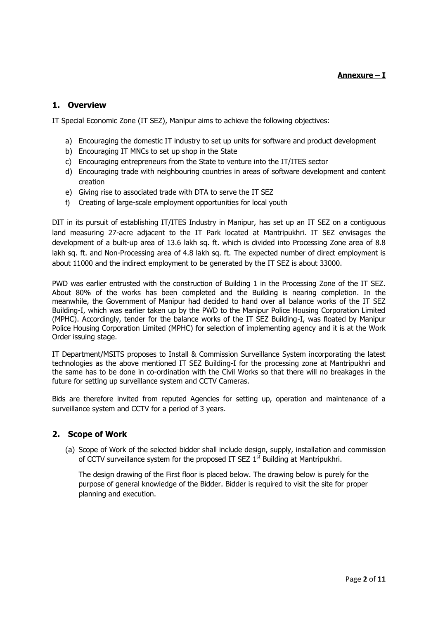#### **1. Overview**

IT Special Economic Zone (IT SEZ), Manipur aims to achieve the following objectives:

- a) Encouraging the domestic IT industry to set up units for software and product development
- b) Encouraging IT MNCs to set up shop in the State
- c) Encouraging entrepreneurs from the State to venture into the IT/ITES sector
- d) Encouraging trade with neighbouring countries in areas of software development and content creation
- e) Giving rise to associated trade with DTA to serve the IT SEZ
- f) Creating of large-scale employment opportunities for local youth

DIT in its pursuit of establishing IT/ITES Industry in Manipur, has set up an IT SEZ on a contiguous land measuring 27-acre adjacent to the IT Park located at Mantripukhri. IT SEZ envisages the development of a built-up area of 13.6 lakh sq. ft. which is divided into Processing Zone area of 8.8 lakh sq. ft. and Non-Processing area of 4.8 lakh sq. ft. The expected number of direct employment is about 11000 and the indirect employment to be generated by the IT SEZ is about 33000.

PWD was earlier entrusted with the construction of Building 1 in the Processing Zone of the IT SEZ. About 80% of the works has been completed and the Building is nearing completion. In the meanwhile, the Government of Manipur had decided to hand over all balance works of the IT SEZ Building-I, which was earlier taken up by the PWD to the Manipur Police Housing Corporation Limited (MPHC). Accordingly, tender for the balance works of the IT SEZ Building-I, was floated by Manipur Police Housing Corporation Limited (MPHC) for selection of implementing agency and it is at the Work Order issuing stage.

IT Department/MSITS proposes to Install & Commission Surveillance System incorporating the latest technologies as the above mentioned IT SEZ Building-I for the processing zone at Mantripukhri and the same has to be done in co-ordination with the Civil Works so that there will no breakages in the future for setting up surveillance system and CCTV Cameras.

Bids are therefore invited from reputed Agencies for setting up, operation and maintenance of a surveillance system and CCTV for a period of 3 years.

#### **2. Scope of Work**

(a) Scope of Work of the selected bidder shall include design, supply, installation and commission of CCTV surveillance system for the proposed IT SEZ  $1<sup>st</sup>$  Building at Mantripukhri.

The design drawing of the First floor is placed below. The drawing below is purely for the purpose of general knowledge of the Bidder. Bidder is required to visit the site for proper planning and execution.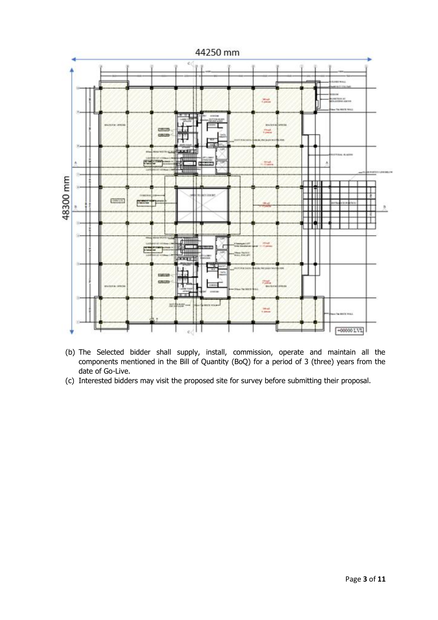

- (b) The Selected bidder shall supply, install, commission, operate and maintain all the components mentioned in the Bill of Quantity (BoQ) for a period of 3 (three) years from the date of Go-Live.
- (c) Interested bidders may visit the proposed site for survey before submitting their proposal.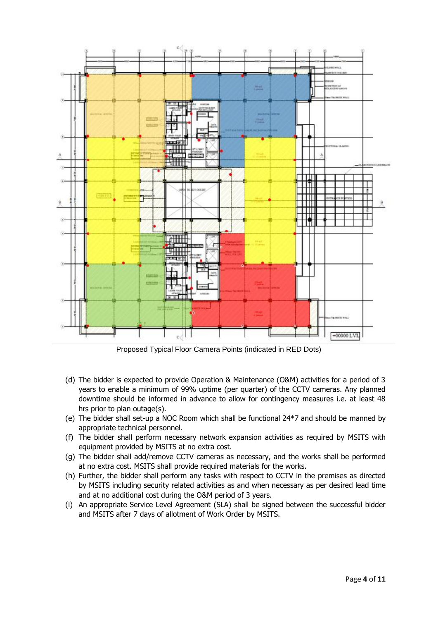

Proposed Typical Floor Camera Points (indicated in RED Dots)

- (d) The bidder is expected to provide Operation & Maintenance (O&M) activities for a period of 3 years to enable a minimum of 99% uptime (per quarter) of the CCTV cameras. Any planned downtime should be informed in advance to allow for contingency measures i.e. at least 48 hrs prior to plan outage(s).
- (e) The bidder shall set-up a NOC Room which shall be functional 24\*7 and should be manned by appropriate technical personnel.
- (f) The bidder shall perform necessary network expansion activities as required by MSITS with equipment provided by MSITS at no extra cost.
- (g) The bidder shall add/remove CCTV cameras as necessary, and the works shall be performed at no extra cost. MSITS shall provide required materials for the works.
- (h) Further, the bidder shall perform any tasks with respect to CCTV in the premises as directed by MSITS including security related activities as and when necessary as per desired lead time and at no additional cost during the O&M period of 3 years.
- (i) An appropriate Service Level Agreement (SLA) shall be signed between the successful bidder and MSITS after 7 days of allotment of Work Order by MSITS.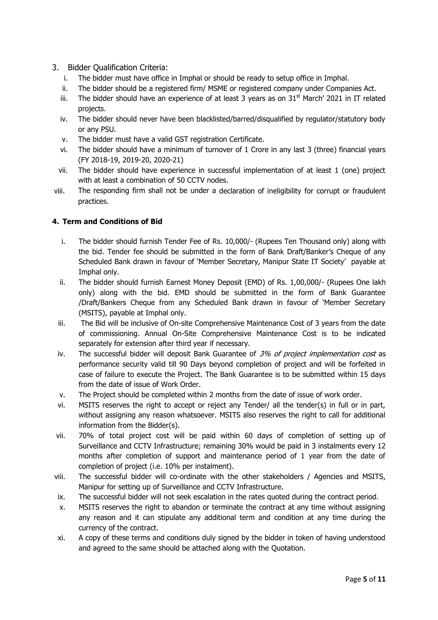- 3. Bidder Qualification Criteria:
	- i. The bidder must have office in Imphal or should be ready to setup office in Imphal.
	- ii. The bidder should be a registered firm/ MSME or registered company under Companies Act.
	- iii. The bidder should have an experience of at least 3 years as on  $31<sup>st</sup>$  March' 2021 in IT related projects.
	- iv. The bidder should never have been blacklisted/barred/disqualified by regulator/statutory body or any PSU.
	- v. The bidder must have a valid GST registration Certificate.
	- vi. The bidder should have a minimum of turnover of 1 Crore in any last 3 (three) financial years (FY 2018-19, 2019-20, 2020-21)
	- vii. The bidder should have experience in successful implementation of at least 1 (one) project with at least a combination of 50 CCTV nodes.
- viii. The responding firm shall not be under a declaration of ineligibility for corrupt or fraudulent practices.

#### **4. Term and Conditions of Bid**

- i. The bidder should furnish Tender Fee of Rs. 10,000/- (Rupees Ten Thousand only) along with the bid. Tender fee should be submitted in the form of Bank Draft/Banker's Cheque of any Scheduled Bank drawn in favour of 'Member Secretary, Manipur State IT Society' payable at Imphal only.
- ii. The bidder should furnish Earnest Money Deposit (EMD) of Rs. 1,00,000/- (Rupees One lakh only) along with the bid. EMD should be submitted in the form of Bank Guarantee /Draft/Bankers Cheque from any Scheduled Bank drawn in favour of 'Member Secretary (MSITS), payable at Imphal only.
- iii. The Bid will be inclusive of On-site Comprehensive Maintenance Cost of 3 years from the date of commissioning. Annual On-Site Comprehensive Maintenance Cost is to be indicated separately for extension after third year if necessary.
- iv. The successful bidder will deposit Bank Guarantee of  $3%$  of project implementation cost as performance security valid till 90 Days beyond completion of project and will be forfeited in case of failure to execute the Project. The Bank Guarantee is to be submitted within 15 days from the date of issue of Work Order.
- v. The Project should be completed within 2 months from the date of issue of work order.
- vi. MSITS reserves the right to accept or reject any Tender/ all the tender(s) in full or in part, without assigning any reason whatsoever. MSITS also reserves the right to call for additional information from the Bidder(s).
- vii. 70% of total project cost will be paid within 60 days of completion of setting up of Surveillance and CCTV Infrastructure; remaining 30% would be paid in 3 instalments every 12 months after completion of support and maintenance period of 1 year from the date of completion of project (i.e. 10% per instalment).
- viii. The successful bidder will co-ordinate with the other stakeholders / Agencies and MSITS, Manipur for setting up of Surveillance and CCTV Infrastructure.
- ix. The successful bidder will not seek escalation in the rates quoted during the contract period.
- x. MSITS reserves the right to abandon or terminate the contract at any time without assigning any reason and it can stipulate any additional term and condition at any time during the currency of the contract.
- xi. A copy of these terms and conditions duly signed by the bidder in token of having understood and agreed to the same should be attached along with the Quotation.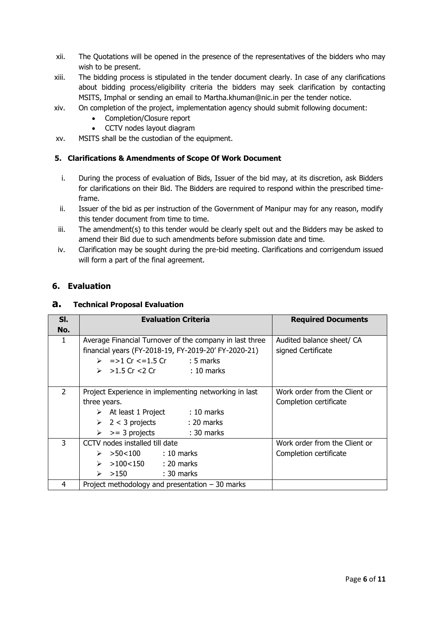- xii. The Quotations will be opened in the presence of the representatives of the bidders who may wish to be present.
- xiii. The bidding process is stipulated in the tender document clearly. In case of any clarifications about bidding process/eligibility criteria the bidders may seek clarification by contacting MSITS, Imphal or sending an email to Martha.khuman@nic.in per the tender notice.
- xiv. On completion of the project, implementation agency should submit following document:
	- Completion/Closure report
	- CCTV nodes layout diagram
- xv. MSITS shall be the custodian of the equipment.

#### **5. Clarifications & Amendments of Scope Of Work Document**

- i. During the process of evaluation of Bids, Issuer of the bid may, at its discretion, ask Bidders for clarifications on their Bid. The Bidders are required to respond within the prescribed timeframe.
- ii. Issuer of the bid as per instruction of the Government of Manipur may for any reason, modify this tender document from time to time.
- iii. The amendment(s) to this tender would be clearly spelt out and the Bidders may be asked to amend their Bid due to such amendments before submission date and time.
- iv. Clarification may be sought during the pre-bid meeting. Clarifications and corrigendum issued will form a part of the final agreement.

#### **6. Evaluation**

#### **a. Technical Proposal Evaluation**

| SI.           | <b>Evaluation Criteria</b>                              | <b>Required Documents</b>     |
|---------------|---------------------------------------------------------|-------------------------------|
| No.           |                                                         |                               |
| $\mathbf{1}$  | Average Financial Turnover of the company in last three | Audited balance sheet/ CA     |
|               | financial years (FY-2018-19, FY-2019-20' FY-2020-21)    | signed Certificate            |
|               | $\ge$ =>1 Cr <=1.5 Cr : 5 marks                         |                               |
|               | $\geq$ >1.5 Cr <2 Cr : 10 marks                         |                               |
|               |                                                         |                               |
| $\mathcal{P}$ | Project Experience in implementing networking in last   | Work order from the Client or |
|               | three years.                                            | Completion certificate        |
|               | $\triangleright$ At least 1 Project : 10 marks          |                               |
|               | $\geq 2 < 3$ projects : 20 marks                        |                               |
|               | $\geq$ > = 3 projects : 30 marks                        |                               |
| 3             | CCTV nodes installed till date                          | Work order from the Client or |
|               | $> 50 < 100$ : 10 marks                                 | Completion certificate        |
|               | $\triangleright$ > 100<150 : 20 marks                   |                               |
|               | $\geq 150$ : 30 marks                                   |                               |
| 4             | Project methodology and presentation $-30$ marks        |                               |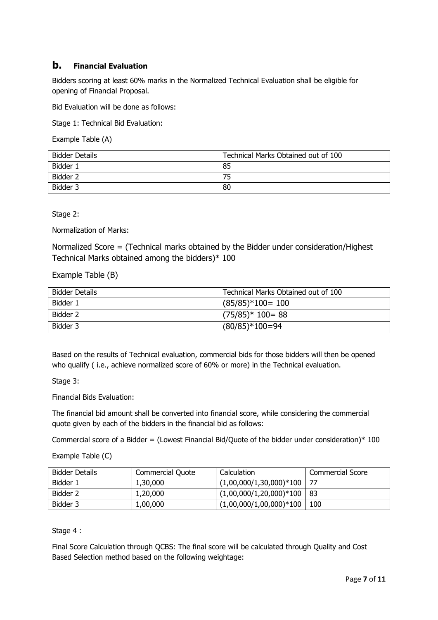### **b. Financial Evaluation**

Bidders scoring at least 60% marks in the Normalized Technical Evaluation shall be eligible for opening of Financial Proposal.

Bid Evaluation will be done as follows:

Stage 1: Technical Bid Evaluation:

Example Table (A)

| <b>Bidder Details</b> | Technical Marks Obtained out of 100 |
|-----------------------|-------------------------------------|
| Bidder <sup>-</sup>   | 85                                  |
| Bidder 2              | 75                                  |
| Bidder 3              | 80                                  |

Stage 2:

Normalization of Marks:

Normalized Score = (Technical marks obtained by the Bidder under consideration/Highest Technical Marks obtained among the bidders)\* 100

Example Table (B)

| Bidder Details | Technical Marks Obtained out of 100 |
|----------------|-------------------------------------|
| Bidder 1       | $(85/85)*100=100$                   |
| Bidder 2       | $(75/85)^*$ 100= 88                 |
| Bidder 3       | $(80/85)*100=94$                    |

Based on the results of Technical evaluation, commercial bids for those bidders will then be opened who qualify ( i.e., achieve normalized score of 60% or more) in the Technical evaluation.

Stage 3:

Financial Bids Evaluation:

The financial bid amount shall be converted into financial score, while considering the commercial quote given by each of the bidders in the financial bid as follows:

Commercial score of a Bidder = (Lowest Financial Bid/Quote of the bidder under consideration)\* 100

Example Table (C)

| Bidder Details | <b>Commercial Quote</b> | Calculation                    | Commercial Score |
|----------------|-------------------------|--------------------------------|------------------|
| Bidder 1       | 1,30,000                | $(1,00,000/1,30,000)*100$   77 |                  |
| Bidder 2       | 1,20,000                | $(1,00,000/1,20,000)*100$   83 |                  |
| Bidder 3       | 1,00,000                | $(1,00,000/1,00,000)*100$      | 100              |

Stage 4 :

Final Score Calculation through QCBS: The final score will be calculated through Quality and Cost Based Selection method based on the following weightage: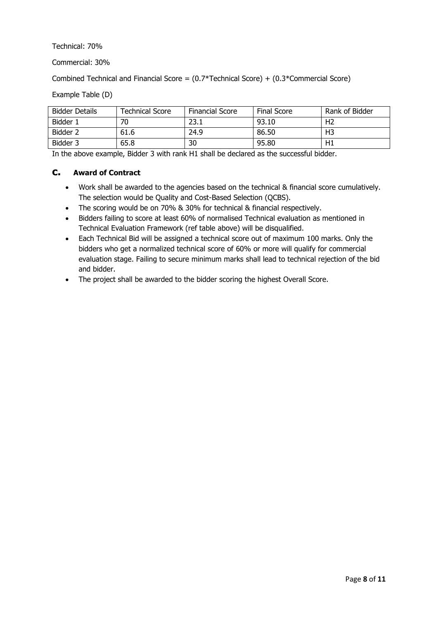Technical: 70%

Commercial: 30%

Combined Technical and Financial Score =  $(0.7*Technical Score) + (0.3*Commentical Score)$ 

Example Table (D)

| <b>Bidder Details</b> | Technical Score | <b>Financial Score</b> | <b>Final Score</b> | Rank of Bidder |
|-----------------------|-----------------|------------------------|--------------------|----------------|
| Bidder 1              | 70              | 23.1                   | 93.10              | H <sub>2</sub> |
| Bidder 2              | 61.6            | 24.9                   | 86.50              | H3             |
| Bidder 3              | 65.8            | 30                     | 95.80              | H1             |

In the above example, Bidder 3 with rank H1 shall be declared as the successful bidder.

#### **c. Award of Contract**

- Work shall be awarded to the agencies based on the technical & financial score cumulatively. The selection would be Quality and Cost-Based Selection (QCBS).
- The scoring would be on 70% & 30% for technical & financial respectively.
- Bidders failing to score at least 60% of normalised Technical evaluation as mentioned in Technical Evaluation Framework (ref table above) will be disqualified.
- Each Technical Bid will be assigned a technical score out of maximum 100 marks. Only the bidders who get a normalized technical score of 60% or more will qualify for commercial evaluation stage. Failing to secure minimum marks shall lead to technical rejection of the bid and bidder.
- The project shall be awarded to the bidder scoring the highest Overall Score.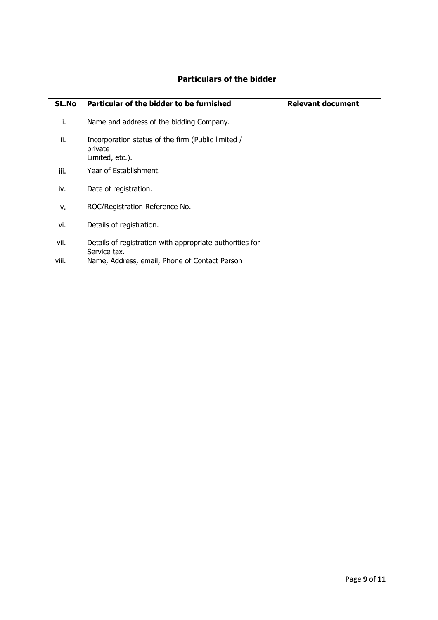| <b>Particulars of the bidder</b> |  |  |
|----------------------------------|--|--|
|----------------------------------|--|--|

| SL.No | Particular of the bidder to be furnished                                         | <b>Relevant document</b> |
|-------|----------------------------------------------------------------------------------|--------------------------|
| i.    | Name and address of the bidding Company.                                         |                          |
| ii.   | Incorporation status of the firm (Public limited /<br>private<br>Limited, etc.). |                          |
| iii.  | Year of Establishment.                                                           |                          |
| iv.   | Date of registration.                                                            |                          |
| v.    | ROC/Registration Reference No.                                                   |                          |
| vi.   | Details of registration.                                                         |                          |
| vii.  | Details of registration with appropriate authorities for<br>Service tax.         |                          |
| viii. | Name, Address, email, Phone of Contact Person                                    |                          |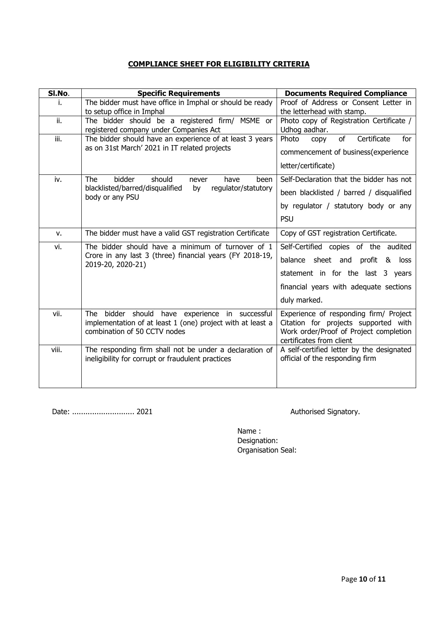## **COMPLIANCE SHEET FOR ELIGIBILITY CRITERIA**

| SI.No. | <b>Specific Requirements</b>                                                    | <b>Documents Required Compliance</b>      |  |  |
|--------|---------------------------------------------------------------------------------|-------------------------------------------|--|--|
| Τ.     | The bidder must have office in Imphal or should be ready                        | Proof of Address or Consent Letter in     |  |  |
|        | to setup office in Imphal                                                       | the letterhead with stamp.                |  |  |
| ii.    | The bidder should be a registered firm/<br>MSME or                              | Photo copy of Registration Certificate /  |  |  |
|        | registered company under Companies Act                                          | Udhog aadhar.                             |  |  |
| iii.   | The bidder should have an experience of at least 3 years                        | of<br>Certificate<br>for<br>Photo<br>copy |  |  |
|        | as on 31st March' 2021 in IT related projects                                   | commencement of business(experience       |  |  |
|        |                                                                                 |                                           |  |  |
|        |                                                                                 | letter/certificate)                       |  |  |
| iv.    | The<br>bidder<br>should<br>have<br>never<br>been                                | Self-Declaration that the bidder has not  |  |  |
|        | blacklisted/barred/disqualified<br>by<br>regulator/statutory<br>body or any PSU | been blacklisted / barred / disqualified  |  |  |
|        |                                                                                 | by regulator / statutory body or any      |  |  |
|        |                                                                                 | <b>PSU</b>                                |  |  |
| v.     | The bidder must have a valid GST registration Certificate                       | Copy of GST registration Certificate.     |  |  |
| vi.    | The bidder should have a minimum of turnover of 1                               | Self-Certified copies of the audited      |  |  |
|        | Crore in any last 3 (three) financial years (FY 2018-19,<br>2019-20, 2020-21)   | balance<br>sheet and profit & loss        |  |  |
|        |                                                                                 | statement in for the last 3 years         |  |  |
|        |                                                                                 | financial years with adequate sections    |  |  |
|        |                                                                                 | duly marked.                              |  |  |
| vii.   | bidder should have experience in successful<br>The                              | Experience of responding firm/ Project    |  |  |
|        | implementation of at least 1 (one) project with at least a                      | Citation for projects supported with      |  |  |
|        | combination of 50 CCTV nodes<br>Work order/Proof of Project completion          |                                           |  |  |
|        |                                                                                 | certificates from client                  |  |  |
| viii.  | The responding firm shall not be under a declaration of                         | A self-certified letter by the designated |  |  |
|        | ineligibility for corrupt or fraudulent practices                               | official of the responding firm           |  |  |
|        |                                                                                 |                                           |  |  |
|        |                                                                                 |                                           |  |  |
|        |                                                                                 |                                           |  |  |

Date: ............................ 2021 Authorised Signatory.

Name : Designation: Organisation Seal: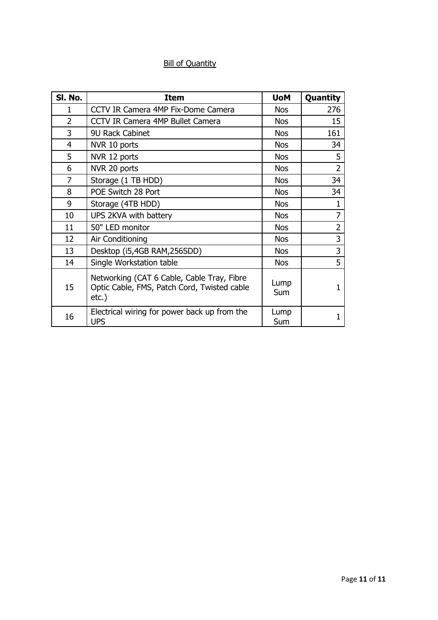## **Bill of Quantity**

| SI. No.        | <b>Item</b>                                                                                           | <b>UoM</b>  | Quantity       |
|----------------|-------------------------------------------------------------------------------------------------------|-------------|----------------|
| 1              | CCTV IR Camera 4MP Fix-Dome Camera                                                                    | <b>Nos</b>  | 276            |
| $\overline{2}$ | <b>CCTV IR Camera 4MP Bullet Camera</b>                                                               | <b>Nos</b>  | 15             |
| 3              | 9U Rack Cabinet                                                                                       | <b>Nos</b>  | 161            |
| $\overline{4}$ | NVR 10 ports                                                                                          | <b>Nos</b>  | 34             |
| 5              | NVR 12 ports                                                                                          | <b>Nos</b>  | 5              |
| 6              | NVR 20 ports                                                                                          | <b>Nos</b>  | $\overline{2}$ |
| $\overline{7}$ | Storage (1 TB HDD)                                                                                    | <b>Nos</b>  | 34             |
| 8              | POE Switch 28 Port                                                                                    | <b>Nos</b>  | 34             |
| 9              | Storage (4TB HDD)                                                                                     | <b>Nos</b>  | 1              |
| 10             | UPS 2KVA with battery                                                                                 | <b>Nos</b>  | $\overline{7}$ |
| 11             | 50" LED monitor                                                                                       | <b>Nos</b>  | $\overline{2}$ |
| 12             | Air Conditioning                                                                                      | <b>Nos</b>  | 3              |
| 13             | Desktop (i5,4GB RAM,256SDD)                                                                           | <b>Nos</b>  | 3              |
| 14             | Single Workstation table                                                                              | <b>Nos</b>  | 5              |
| 15             | Networking (CAT 6 Cable, Cable Tray, Fibre<br>Optic Cable, FMS, Patch Cord, Twisted cable<br>$etc.$ ) | Lump<br>Sum |                |
| 16             | Electrical wiring for power back up from the<br><b>UPS</b>                                            | Lump<br>Sum |                |